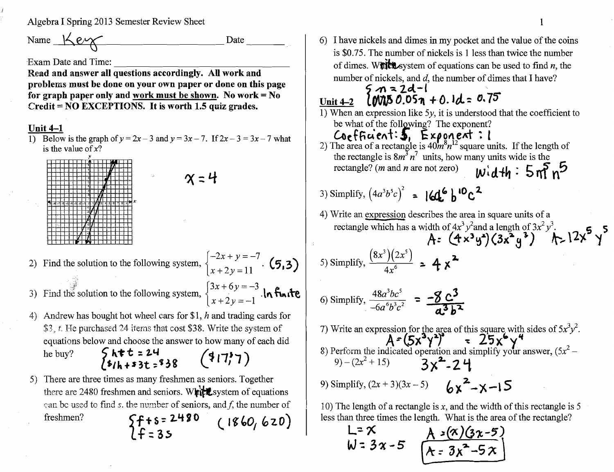## Algebra I Spring 2013 Semester Review Sheet

Name  $\frac{1}{2}e\gamma$  Date

Exam Date and Time:

----------------- Read and answer all questions accordingly. All work and problems must be done on your own paper or done on this page for graph paper only and work must be shown. No work  $=$  No Credit = NO EXCEPTIONS. It is worth 1.5 quiz grades.

## Unit 4-1

1) Below is the graph of  $y = 2x - 3$  and  $y = 3x - 7$ . If  $2x - 3 = 3x - 7$  what is the value of  $x$ ?

 $x:4$ 

| U.<br>Ÿ.<br>r.<br>in na<br>فمسه<br><b>MARCHIN</b><br>hu.<br>κI<br>ŋ<br>G<br>ī<br>. .<br>Ξ<br>रा<br>ř<br>s<br>š<br>x<br>ş<br>T<br>嗨<br>F<br>-31<br>ŝ<br>ī<br>ş<br>4<br>?<br>$\lambda$<br>ň<br>х<br>بيبية<br>u.<br>٠,<br>÷<br>×<br>٤<br>硕<br>٠<br>٠<br>m<br>ŝ<br>ş<br>H<br>m.<br><b>COOP</b><br>ţ |  |  |  |  | æ |  |  |  |  |  |  |
|-------------------------------------------------------------------------------------------------------------------------------------------------------------------------------------------------------------------------------------------------------------------------------------------------|--|--|--|--|---|--|--|--|--|--|--|
|                                                                                                                                                                                                                                                                                                 |  |  |  |  |   |  |  |  |  |  |  |
|                                                                                                                                                                                                                                                                                                 |  |  |  |  |   |  |  |  |  |  |  |
|                                                                                                                                                                                                                                                                                                 |  |  |  |  |   |  |  |  |  |  |  |
|                                                                                                                                                                                                                                                                                                 |  |  |  |  |   |  |  |  |  |  |  |
|                                                                                                                                                                                                                                                                                                 |  |  |  |  |   |  |  |  |  |  |  |
|                                                                                                                                                                                                                                                                                                 |  |  |  |  |   |  |  |  |  |  |  |
|                                                                                                                                                                                                                                                                                                 |  |  |  |  |   |  |  |  |  |  |  |
|                                                                                                                                                                                                                                                                                                 |  |  |  |  |   |  |  |  |  |  |  |
|                                                                                                                                                                                                                                                                                                 |  |  |  |  |   |  |  |  |  |  |  |
|                                                                                                                                                                                                                                                                                                 |  |  |  |  |   |  |  |  |  |  |  |
|                                                                                                                                                                                                                                                                                                 |  |  |  |  |   |  |  |  |  |  |  |
|                                                                                                                                                                                                                                                                                                 |  |  |  |  |   |  |  |  |  |  |  |
|                                                                                                                                                                                                                                                                                                 |  |  |  |  |   |  |  |  |  |  |  |
|                                                                                                                                                                                                                                                                                                 |  |  |  |  |   |  |  |  |  |  |  |
|                                                                                                                                                                                                                                                                                                 |  |  |  |  |   |  |  |  |  |  |  |
|                                                                                                                                                                                                                                                                                                 |  |  |  |  |   |  |  |  |  |  |  |
|                                                                                                                                                                                                                                                                                                 |  |  |  |  |   |  |  |  |  |  |  |
|                                                                                                                                                                                                                                                                                                 |  |  |  |  |   |  |  |  |  |  |  |
|                                                                                                                                                                                                                                                                                                 |  |  |  |  |   |  |  |  |  |  |  |

2) Find the solution to the following system,  $\begin{cases} -2x + y = -7 \\ x + 2y = 11 \end{cases}$  (5,3)

3) Find the solution to the following system,  $\begin{cases} 3x + 6y = -3 \\ x + 2y = -1 \end{cases}$ . In finite

4) Andrew has bought hot wheel cars for \$1, *h* and trading cards for  $$3, t$ . He purchased 24 items that cost \$38. Write the system of equations below and choose the answer to how many of each did

- he buy?  $\begin{cases} h \neq t = 24 \\ h \neq h + 33t = 38 \end{cases}$   $(317)$
- 5) There are three times as many freshmen as seniors. Together there are 2480 freshmen and seniors. White system of equations ean be used to find *s*. the number of seniors, and *f*, the number of freshmen?  $\{f+s=2480$  (1860, 620) If::3~

6) I have nickels and dimes in my pocket and the value of the coins is \$0.75. The number of nickels is 1 less than twice the number of dimes. W**nith** system of equations can be used to find *n*, the number of nickels, and d, the number of dimes that I have?<br>  $5 \text{ m} = 2d - 1$ 6) I have nickels and dimes in my pocket and th<br>is \$0.75. The number of nickels is 1 less than<br>of dimes. W**ittle** system of equations can be u<br>number of nickels, and d, the number of dime<br> $5 \text{ m} = 2d-1$ <br>Unit 4-2 **COVIS 0.** 

- 1) When an expression like *5y,* it is understood that the coefficient to be what of the following? The exponent?
- $C$ oefficient:  $5,~$  Exponent: I 2) The area of a rectangle is  $40m^8n^{12}$  square units. If the length of the rectangle is  $8m^3 n^7$  units, how many units wide is the rectangle? (*m* and *n* are not zero)  $W \cdot d + h : 5 m^5 n^5$
- 3) Simplify,  $(4a^3b^5c)^2$  =  $[4a^6]b^{10}c^2$
- 4) Write an expression describes the area in square units of a rectangle which has a width of  $4x^3y^2$  and a length of  $3x^2y^3$ .  $A = (4x^3y^2)(3x^2y^3)$  ...  $12x^3y$

5) Simplify,  $\frac{(8x^3)(2x^5)}{4x^6}$  **2...**  $4x^2$ 

6) Simplify, 
$$
\frac{48a^3bc^5}{-6a^6b^3c^2}
$$
 =  $\frac{-8c^3}{a^3b^3}$ 

7) Write an expression for the area of this square with sides of  $5x^3y^2$ .  $A = (5x^3y^2)$  =  $25x^6y^4$ 8) Perform the indicated operation and simplify your answer,  $(5x^2 (9) - (2x^2 + 15)$   $3x^2 - 24$ 9) Simplify,  $(2x + 3)(3x - 5)$  **b** $\int_{2}^{2} x^2 - x - 15$ 

10) The length of a rectangle is *x,* and the width of this rectangle is 5 less than three times the length. What is the area of the rectangle?

L<sup>=</sup>  $\times$  A *:*(x)(3x-5)  $W = 3x - 5$   $\left[\overline{A - 3x^2 - 5x}\right]$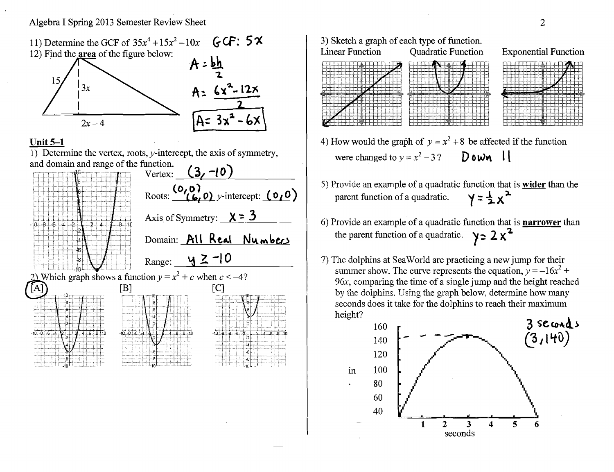

## **Unit 5-1**

1) Determine the vertex, roots,  $y$ -intercept, the axis of symmetry, and domain and range of the function.





- 4) How would the graph of  $y = x^2 + 8$  be affected if the function were changed to  $y = x^2 - 3$ ? Down  $\bf{l}$
- 5) Provide an example of a quadratic function that is **wider** than the parent function of a quadratic.  $y = \frac{1}{2}x^2$ .
- 6) Provide an example of a quadratic function that is **narrower** than the parent function of a quadratic.  $y = 2x^2$ .
- 7) The dolphins at SeaWorld are practicing a new jump for their summer show. The curve represents the equation,  $y = -16x^2 +$ *96x,* comparing the time of a single jump and the height reached by the dolphins, Using the graph below, determine how many seconds does it take for the dolphins to reach their maximum height?

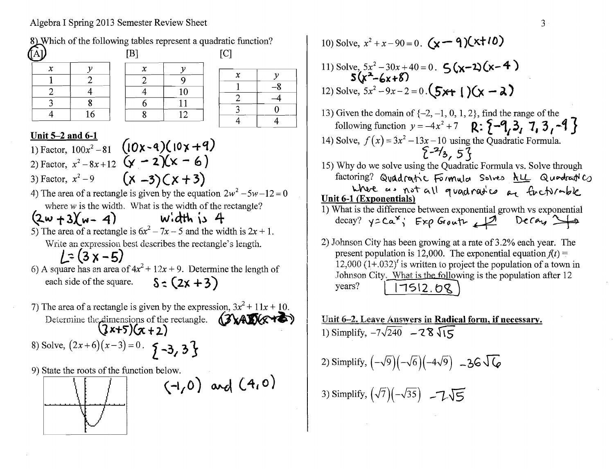## Algebra I Spring 2013 Semester Review Sheet



10) Solve, 
$$
x^2 + x - 90 = 0
$$
.  $(x - 9)(x+10)$ 

11) Solve, 
$$
5x^2 - 30x + 40 = 0
$$
.  $5(x-2)(x-4)$   
5(x<sup>2</sup>-6x+8)  
12) Solve,  $5x^2 - 9x - 2 = 0$ .  $(5x+1)(x-2)$ 

- 13) Given the domain of  $\{-2, -1, 0, 1, 2\}$ , find the range of the following function  $y = -4x^2 + 7$  R:  $\{-9, 3, 7, 3, -9\}$ 14) Solve,  $f(x) = 3x^2 - 13x - 10$  using the Quadratic Formula.  $\{ -\frac{2}{3}, 5\}$ 15) Why do we solve using the Quadratic Formula vs. Solve through  $factoring?$  Quadratic Formula Solves  $A \perp\!\!\!\perp Q$ undratic
- where  $a \cdot$  not all quadratic  $a \cdot$  finctionale Unit 6-1 (Exponentials)
- 1) What is the difference between exponential growth vs exponential  $decay?$   $yzCa<sup>x</sup>$ ; Exp Grouth  $\Box$  Decay  $\Box$
- 2) Johnson City has been growing at a rate of 3.2% each year. The present population is 12,000. The exponential equation  $f(t) =$ 12,000  $(1+.032)^t$  is written to project the population of a town in Johnson City. What is the following is the population after 12  $years?$  | |  $7512.68$

Unit 6-2. Leave Amwers in Radical form, if necessary. 1) Simplify,  $-7\sqrt{240}$  -  $2\sqrt{8}\sqrt{15}$ 

2) Simplify,  $(-\sqrt{9})(-\sqrt{6})(-4\sqrt{9})$  -36 $\sqrt{6}$